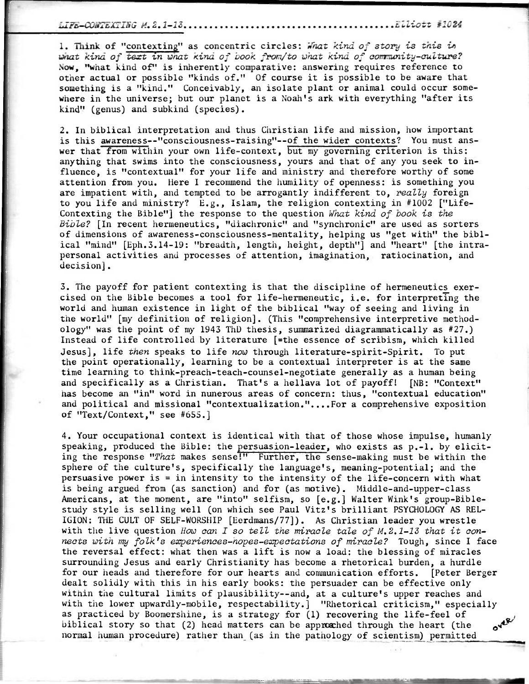## LiTis-XiiTE:CING 14.2.1-13 ELliott F1024

1. Think of "contexting" as concentric circles: What kind of story is this in what kind of text tn wnat kind of book from/to what kind of community-culture? Now, "what kind of" is inherently comparative: answering requires reference to other actual or possible "kinds of." Of course it is possible to be aware that something is a "kind." Conceivably, an isolate plant or animal could occur somewhere in the universe; but our planet is a Noah's ark with everything "after its kind" (genus) and subkind (species).

2. In biblical interpretation and thus Christian life and mission, how important is this awareness--"consciousness-raising"--of the wider contexts? You must answer that from within your own life-context, but my governing criterion is this: anything that swims into the consciousness, yours and that of any you seek to influence, is "contextual" for your life and ministry and therefore worthy of some attention from you. Here I recommend the humility of openness: is something you are impatient with, and tempted to be arrogantly indifferent to, really foreign to you life and ministry? E.g., Islam, the religion contexting in #1002 ["Life-Contexting the Bible"] the response to the question What kind of book is the Bible? [In recent hermeneutics, "diachronic" and "synchronic" are used as sorters of dimensions of awareness-consciousness-mentality, helping us "get with" the biblical "mind" [Eph.3.14-19: "breadth, length, height, depth"] and "heart" [the intrapersonal activities and processes of attention, imagination, ratiocination, and decision].

3. The payoff for patient contexting is that the discipline of hermeneutics exercised on the Bible becomes a tool for life-hermeneutic, i.e. for interpreting the world and human existence in light of the biblical "way of seeing and living in the world" [my definition of religion]. (This "comprehensive interpretive methodology" was the point of my 1943 ThD thesis, summarized diagrammatically as #27.) Instead of life controlled by literature [=the essence of scribism, which killed Jesus], life then speaks to life now through literature-spirit-Spirit. To put the point operationally, learning to be a contextual interpreter is at the same time learning to think-preach-teach-counsel-negotiate generally as a human being and specifically as a Christian. That's a hellava lot of payoff! [NB: "Context" has become an "in" word in nunerous areas of concern: thus, "contextual education" and political and missional "contextualization."....For a comprehensive exposition of "Text/Context," see #655.]

4. Your occupational context is identical with that of those whose impulse, humanly speaking, produced the Bible: the persuasion-leader, who exists as p.-1. by eliciting the response "That makes sense!" Further, the sense-making must be within the sphere of the culture's, specifically the language's, meaning-potential; and the persuasive power is = in intensity to the intensity of the life-concern with what is being argued from (as sanction) and for (as motive). Middle-and-upper-class Americans, at the moment, are "into" selfism, so [e.g.] Walter Wink's group-Biblestudy style is selling well (on which see Paul Vitz's brilliant PSYCHOLOGY AS REL-IGION: THE CULT OF SELF-WORSHIP [Eerdmans/77]). As Christian leader you wrestle with the live question How can I so tell the miracle tale of M.2.1-13 that it connects with my folk's experiences-hopes-expectations of miracle? Tough, since I face the reversal effect: what then was a lift is now a load: the blessing of miracles surrounding Jesus and early Christianity has become a rhetorical burden, a hurdle for our heads and therefore for our hearts and communication efforts. [Peter Berger dealt solidly with this in his early books: the persuader can be effective only within the cultural limits of plausibility--and, at a culture's upper reaches and with the lower upwardly-mobile, respectability.] "Rhetorical criticism," especially as practiced by Boomershine, is a strategy for (1) recovering the life-feel of biblical story so that (2) head matters can be approached through the heart (the  $41.5$ normal human procedure) rather than (as in the pathology of scientism) permitted